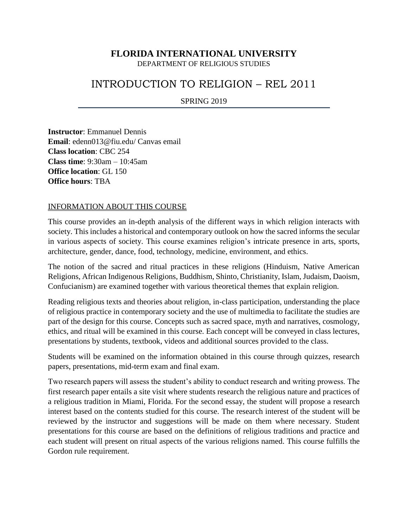## **FLORIDA INTERNATIONAL UNIVERSITY**

DEPARTMENT OF RELIGIOUS STUDIES

# INTRODUCTION TO RELIGION – REL 2011

SPRING 2019

**Instructor**: Emmanuel Dennis **Email**: [edenn013@fiu.edu/](mailto:edenn013@fiu.edu) Canvas email **Class location**: CBC 254 **Class time**: 9:30am – 10:45am **Office location**: GL 150 **Office hours**: TBA

#### INFORMATION ABOUT THIS COURSE

This course provides an in-depth analysis of the different ways in which religion interacts with society. This includes a historical and contemporary outlook on how the sacred informs the secular in various aspects of society. This course examines religion's intricate presence in arts, sports, architecture, gender, dance, food, technology, medicine, environment, and ethics.

The notion of the sacred and ritual practices in these religions (Hinduism, Native American Religions, African Indigenous Religions, Buddhism, Shinto, Christianity, Islam, Judaism, Daoism, Confucianism) are examined together with various theoretical themes that explain religion.

Reading religious texts and theories about religion, in-class participation, understanding the place of religious practice in contemporary society and the use of multimedia to facilitate the studies are part of the design for this course. Concepts such as sacred space, myth and narratives, cosmology, ethics, and ritual will be examined in this course. Each concept will be conveyed in class lectures, presentations by students, textbook, videos and additional sources provided to the class.

Students will be examined on the information obtained in this course through quizzes, research papers, presentations, mid-term exam and final exam.

Two research papers will assess the student's ability to conduct research and writing prowess. The first research paper entails a site visit where students research the religious nature and practices of a religious tradition in Miami, Florida. For the second essay, the student will propose a research interest based on the contents studied for this course. The research interest of the student will be reviewed by the instructor and suggestions will be made on them where necessary. Student presentations for this course are based on the definitions of religious traditions and practice and each student will present on ritual aspects of the various religions named. This course fulfills the Gordon rule requirement.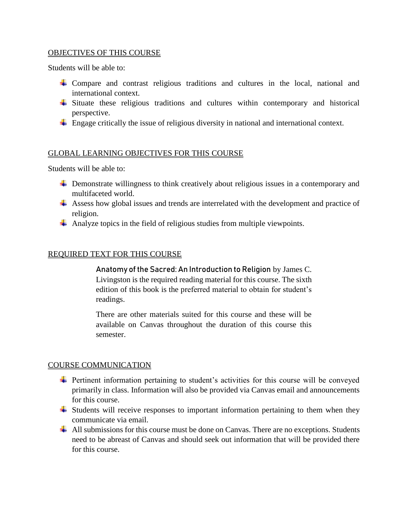## OBJECTIVES OF THIS COURSE

Students will be able to:

- Compare and contrast religious traditions and cultures in the local, national and international context.
- $\overline{\phantom{a}}$  Situate these religious traditions and cultures within contemporary and historical perspective.
- $\perp$  Engage critically the issue of religious diversity in national and international context.

## GLOBAL LEARNING OBJECTIVES FOR THIS COURSE

Students will be able to:

- Demonstrate willingness to think creatively about religious issues in a contemporary and multifaceted world.
- Assess how global issues and trends are interrelated with the development and practice of religion.
- Analyze topics in the field of religious studies from multiple viewpoints.

## REQUIRED TEXT FOR THIS COURSE

Anatomy of the Sacred: An Introduction to Religion by James C. Livingston is the required reading material for this course. The sixth edition of this book is the preferred material to obtain for student's readings.

There are other materials suited for this course and these will be available on Canvas throughout the duration of this course this semester.

#### COURSE COMMUNICATION

- Full pertinent information pertaining to student's activities for this course will be conveyed primarily in class. Information will also be provided via Canvas email and announcements for this course.
- Students will receive responses to important information pertaining to them when they communicate via email.
- $\overline{\phantom{a}}$  All submissions for this course must be done on Canvas. There are no exceptions. Students need to be abreast of Canvas and should seek out information that will be provided there for this course.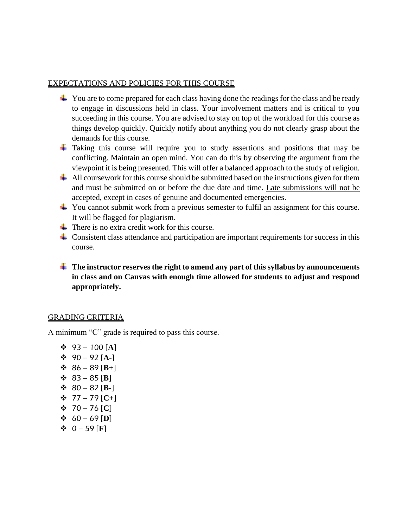#### EXPECTATIONS AND POLICIES FOR THIS COURSE

- $\overline{\phantom{a}}$  You are to come prepared for each class having done the readings for the class and be ready to engage in discussions held in class. Your involvement matters and is critical to you succeeding in this course. You are advised to stay on top of the workload for this course as things develop quickly. Quickly notify about anything you do not clearly grasp about the demands for this course.
- $\overline{\phantom{a}}$  Taking this course will require you to study assertions and positions that may be conflicting. Maintain an open mind. You can do this by observing the argument from the viewpoint it is being presented. This will offer a balanced approach to the study of religion.
- $\pm$  All coursework for this course should be submitted based on the instructions given for them and must be submitted on or before the due date and time. Late submissions will not be accepted, except in cases of genuine and documented emergencies.
- You cannot submit work from a previous semester to fulfil an assignment for this course. It will be flagged for plagiarism.
- $\frac{1}{\sqrt{2}}$  There is no extra credit work for this course.
- $\pm$  Consistent class attendance and participation are important requirements for success in this course.
- **The instructor reserves the right to amend any part of this syllabus by announcements in class and on Canvas with enough time allowed for students to adjust and respond appropriately.**

#### GRADING CRITERIA

A minimum "C" grade is required to pass this course.

❖ 93 – 100 [**A**] ❖ 90 – 92 [**A-**] ❖ 86 – 89 [**B+**] ❖ 83 – 85 [**B**] ❖ 80 – 82 [**B-**] ❖ 77 – 79 [**C+**] ❖ 70 – 76 [**C**] ❖ 60 – 69 [**D**] ❖ 0 – 59 [**F**]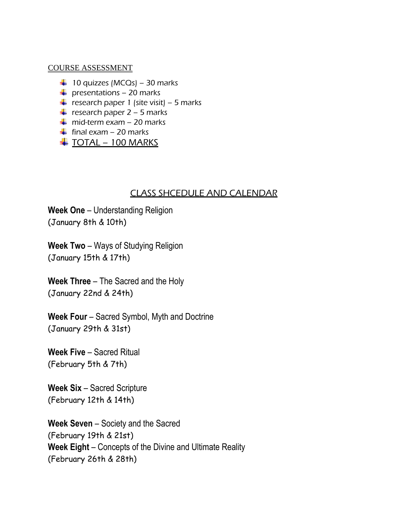## COURSE ASSESSMENT

- $\downarrow$  10 quizzes (MCQs) 30 marks
- $\downarrow$  presentations 20 marks
- **+** research paper 1 (site visit) 5 marks
- **+** research paper  $2 5$  marks
- $\frac{1}{2}$  mid-term exam 20 marks
- $\frac{1}{\sqrt{2}}$  final exam 20 marks
- $\ddagger$  TOTAL 100 MARKS

## CLASS SHCEDULE AND CALENDAR

**Week One** – Understanding Religion (January 8th & 10th)

**Week Two** – Ways of Studying Religion (January 15th & 17th)

**Week Three** – The Sacred and the Holy (January 22nd & 24th)

**Week Four** – Sacred Symbol, Myth and Doctrine (January 29th & 31st)

**Week Five** – Sacred Ritual (February 5th & 7th)

**Week Six** – Sacred Scripture (February 12th & 14th)

**Week Seven** – Society and the Sacred (February 19th & 21st) **Week Eight** – Concepts of the Divine and Ultimate Reality (February 26th & 28th)